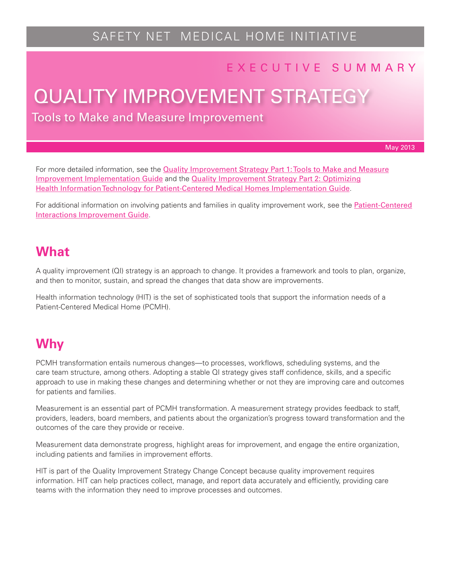# SAFETY NET MEDICAL HOME INITIATIVE

### E X E C U T I V E S U M M A R Y

# QUALITY IMPROVEMENT STRATEGY

Tools to Make and Measure Improvement

May 2013

For more detailed information, see the **[Quality Improvement Strategy Part 1: Tools to Make and Measure](http://www.safetynetmedicalhome.org/sites/default/files/Implementation-Guide-QI-Strategy-1.pdf)** [Improvement Implementation Guide](http://www.safetynetmedicalhome.org/sites/default/files/Implementation-Guide-QI-Strategy-1.pdf) and the [Quality Improvement Strategy Part 2: Optimizing](http://www.safetynetmedicalhome.org/sites/default/files/Implementation-Guide-QI-Strategy-2.pdf) [Health Information Technology for Patient-Centered Medical Homes Implementation Guide](http://www.safetynetmedicalhome.org/sites/default/files/Implementation-Guide-QI-Strategy-2.pdf).

For additional information on involving patients and families in quality improvement work, see the [Patient-Centered](http://www.safetynetmedicalhome.org/sites/default/files/Implementation-Guide-Patient-Centered-Interactions.pdf) [Interactions Improvement Guide](http://www.safetynetmedicalhome.org/sites/default/files/Implementation-Guide-Patient-Centered-Interactions.pdf).

### **What**

A quality improvement (QI) strategy is an approach to change. It provides a framework and tools to plan, organize, and then to monitor, sustain, and spread the changes that data show are improvements.

Health information technology (HIT) is the set of sophisticated tools that support the information needs of a Patient-Centered Medical Home (PCMH).

# **Why**

PCMH transformation entails numerous changes—to processes, workflows, scheduling systems, and the care team structure, among others. Adopting a stable QI strategy gives staff confidence, skills, and a specific approach to use in making these changes and determining whether or not they are improving care and outcomes for patients and families.

Measurement is an essential part of PCMH transformation. A measurement strategy provides feedback to staff, providers, leaders, board members, and patients about the organization's progress toward transformation and the outcomes of the care they provide or receive.

Measurement data demonstrate progress, highlight areas for improvement, and engage the entire organization, including patients and families in improvement efforts.

HIT is part of the Quality Improvement Strategy Change Concept because quality improvement requires information. HIT can help practices collect, manage, and report data accurately and efficiently, providing care teams with the information they need to improve processes and outcomes.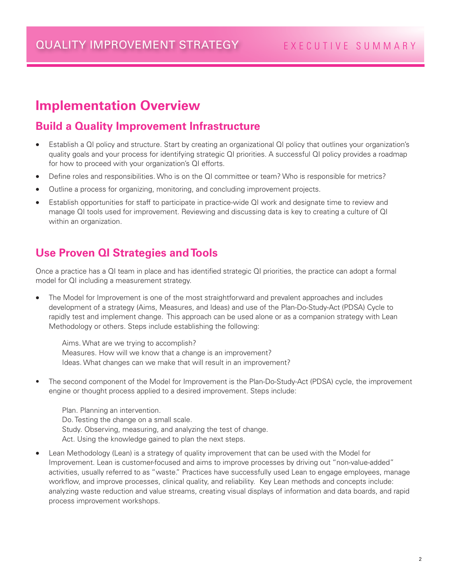# **Implementation Overview**

#### **Build a Quality Improvement Infrastructure**

- Establish a QI policy and structure. Start by creating an organizational QI policy that outlines your organization's quality goals and your process for identifying strategic QI priorities. A successful QI policy provides a roadmap for how to proceed with your organization's QI efforts.
- Define roles and responsibilities. Who is on the QI committee or team? Who is responsible for metrics?
- Outline a process for organizing, monitoring, and concluding improvement projects.
- Establish opportunities for staff to participate in practice-wide QI work and designate time to review and manage QI tools used for improvement. Reviewing and discussing data is key to creating a culture of QI within an organization.

#### **Use Proven QI Strategies and Tools**

Once a practice has a QI team in place and has identified strategic QI priorities, the practice can adopt a formal model for QI including a measurement strategy.

The Model for Improvement is one of the most straightforward and prevalent approaches and includes development of a strategy (Aims, Measures, and Ideas) and use of the Plan-Do-Study-Act (PDSA) Cycle to rapidly test and implement change. This approach can be used alone or as a companion strategy with Lean Methodology or others. Steps include establishing the following:

Aims. What are we trying to accomplish? Measures. How will we know that a change is an improvement? Ideas. What changes can we make that will result in an improvement?

The second component of the Model for Improvement is the Plan-Do-Study-Act (PDSA) cycle, the improvement engine or thought process applied to a desired improvement. Steps include:

Plan. Planning an intervention. Do. Testing the change on a small scale. Study. Observing, measuring, and analyzing the test of change. Act. Using the knowledge gained to plan the next steps.

Lean Methodology (Lean) is a strategy of quality improvement that can be used with the Model for Improvement. Lean is customer-focused and aims to improve processes by driving out "non-value-added" activities, usually referred to as "waste." Practices have successfully used Lean to engage employees, manage workflow, and improve processes, clinical quality, and reliability. Key Lean methods and concepts include: analyzing waste reduction and value streams, creating visual displays of information and data boards, and rapid process improvement workshops.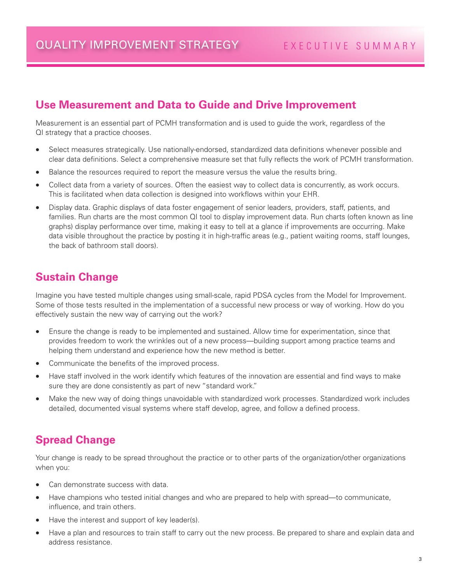#### **Use Measurement and Data to Guide and Drive Improvement**

Measurement is an essential part of PCMH transformation and is used to guide the work, regardless of the QI strategy that a practice chooses.

- Select measures strategically. Use nationally-endorsed, standardized data definitions whenever possible and clear data definitions. Select a comprehensive measure set that fully reflects the work of PCMH transformation.
- Balance the resources required to report the measure versus the value the results bring.
- Collect data from a variety of sources. Often the easiest way to collect data is concurrently, as work occurs. This is facilitated when data collection is designed into workflows within your EHR.
- Display data. Graphic displays of data foster engagement of senior leaders, providers, staff, patients, and families. Run charts are the most common QI tool to display improvement data. Run charts (often known as line graphs) display performance over time, making it easy to tell at a glance if improvements are occurring. Make data visible throughout the practice by posting it in high-traffic areas (e.g., patient waiting rooms, staff lounges, the back of bathroom stall doors).

#### **Sustain Change**

Imagine you have tested multiple changes using small-scale, rapid PDSA cycles from the Model for Improvement. Some of those tests resulted in the implementation of a successful new process or way of working. How do you effectively sustain the new way of carrying out the work?

- Ensure the change is ready to be implemented and sustained. Allow time for experimentation, since that provides freedom to work the wrinkles out of a new process—building support among practice teams and helping them understand and experience how the new method is better.
- Communicate the benefits of the improved process.
- Have staff involved in the work identify which features of the innovation are essential and find ways to make sure they are done consistently as part of new "standard work."
- Make the new way of doing things unavoidable with standardized work processes. Standardized work includes detailed, documented visual systems where staff develop, agree, and follow a defined process.

#### **Spread Change**

Your change is ready to be spread throughout the practice or to other parts of the organization/other organizations when you:

- Can demonstrate success with data.
- Have champions who tested initial changes and who are prepared to help with spread—to communicate, influence, and train others.
- Have the interest and support of key leader(s).
- Have a plan and resources to train staff to carry out the new process. Be prepared to share and explain data and address resistance.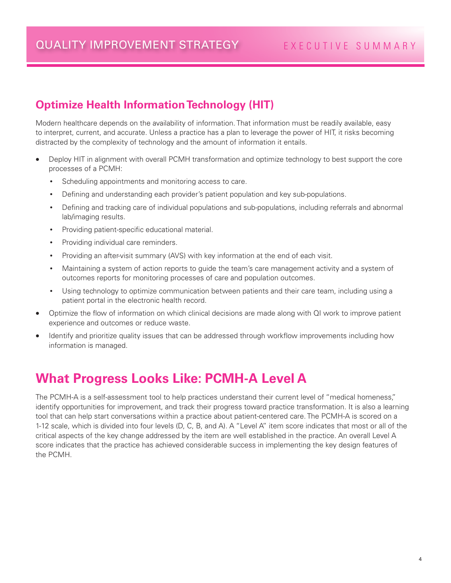### **Optimize Health Information Technology (HIT)**

Modern healthcare depends on the availability of information. That information must be readily available, easy to interpret, current, and accurate. Unless a practice has a plan to leverage the power of HIT, it risks becoming distracted by the complexity of technology and the amount of information it entails.

- Deploy HIT in alignment with overall PCMH transformation and optimize technology to best support the core processes of a PCMH:
	- Scheduling appointments and monitoring access to care.
	- Defining and understanding each provider's patient population and key sub-populations.
	- • Defining and tracking care of individual populations and sub-populations, including referrals and abnormal lab/imaging results.
	- • Providing patient-specific educational material.
	- Providing individual care reminders.
	- Providing an after-visit summary (AVS) with key information at the end of each visit.
	- Maintaining a system of action reports to guide the team's care management activity and a system of outcomes reports for monitoring processes of care and population outcomes.
	- • Using technology to optimize communication between patients and their care team, including using a patient portal in the electronic health record.
- Optimize the flow of information on which clinical decisions are made along with QI work to improve patient experience and outcomes or reduce waste.
- Identify and prioritize quality issues that can be addressed through workflow improvements including how information is managed.

## **What Progress Looks Like: PCMH-A Level A**

The PCMH-A is a self-assessment tool to help practices understand their current level of "medical homeness," identify opportunities for improvement, and track their progress toward practice transformation. It is also a learning tool that can help start conversations within a practice about patient-centered care. The PCMH-A is scored on a 1-12 scale, which is divided into four levels (D, C, B, and A). A "Level A" item score indicates that most or all of the critical aspects of the key change addressed by the item are well established in the practice. An overall Level A score indicates that the practice has achieved considerable success in implementing the key design features of the PCMH.